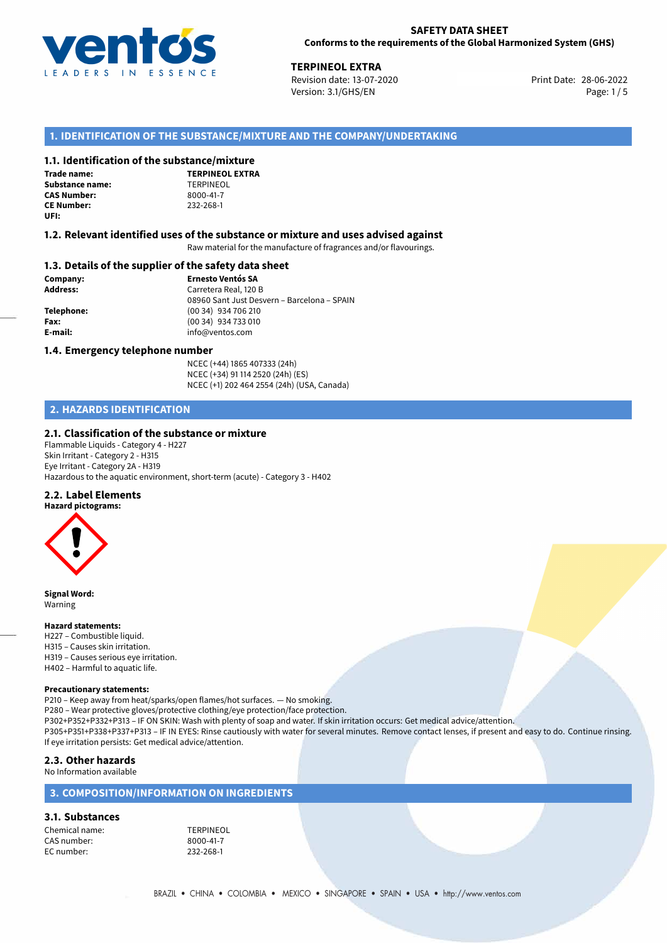

## **SAFETY DATA SHEET Conforms to the requirements of the Global Harmonized System (GHS)**

**TERPINEOL EXTRA**<br>
Revision date: 13-07-2020<br> **Print Date: 28-06-2022** Revision date: 13-07-2020 Version: 3.1/GHS/EN Page: 1 / 5

## **1. IDENTIFICATION OF THE SUBSTANCE/MIXTURE AND THE COMPANY/UNDERTAKING**

## **1.1. Identification of the substance/mixture**

**Trade name: Substance name:** TERPINEOL<br> **CAS Number:** 8000-41-7 **CAS Number: CE Number:** 232-268-1 **UFI:**

**TERPINEOL EXTRA**

## **1.2. Relevant identified uses of the substance or mixture and uses advised against**

Raw material for the manufacture of fragrances and/or flavourings.

## **1.3. Details of the supplier of the safety data sheet**

**Company: Ernesto Ventós SA Address:** Carretera Real, 120 B 08960 Sant Just Desvern – Barcelona – SPAIN **Telephone:** (00 34) 934 706 210 **Fax:** (00 34) 934 733 010 **E-mail:** info@ventos.com

## **1.4. Emergency telephone number**

NCEC (+44) 1865 407333 (24h) NCEC (+34) 91 114 2520 (24h) (ES) NCEC (+1) 202 464 2554 (24h) (USA, Canada)

# **2. HAZARDS IDENTIFICATION**

## **2.1. Classification of the substance or mixture**

Flammable Liquids - Category 4 - H227 Skin Irritant - Category 2 - H315 Eye Irritant - Category 2A - H319 Hazardous to the aquatic environment, short-term (acute) - Category 3 - H402

## **2.2. Label Elements**



**Signal Word:** Warning

### **Hazard statements:**

H227 – Combustible liquid. H315 – Causes skin irritation. H319 – Causes serious eye irritation. H402 – Harmful to aquatic life.

## **Precautionary statements:**

P210 – Keep away from heat/sparks/open flames/hot surfaces. — No smoking. P280 – Wear protective gloves/protective clothing/eye protection/face protection. P302+P352+P332+P313 – IF ON SKIN: Wash with plenty of soap and water. If skin irritation occurs: Get medical advice/attention. P305+P351+P338+P337+P313 – IF IN EYES: Rinse cautiously with water for several minutes. Remove contact lenses, if present and easy to do. Continue rinsing. If eye irritation persists: Get medical advice/attention.

## **2.3. Other hazards**

No Information available

## **3. COMPOSITION/INFORMATION ON INGREDIENTS**

# **3.1. Substances**

Chemical name: TERPINEOL CAS number: 8000-41-7<br>EC number: 232-268-1 EC number: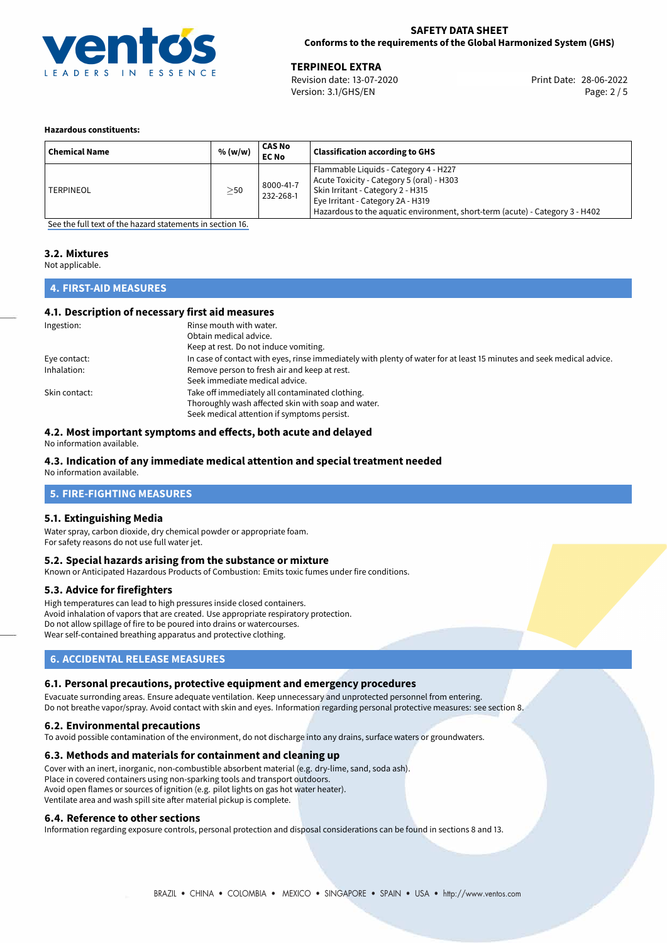

## **SAFETY DATA SHEET Conforms to the requirements of the Global Harmonized System (GHS)**

28-06-2022 **TERPINEOL EXTRA** Revision date: 13-07-2020 Print Date: Version: 3.1/GHS/EN Page: 2 / 5

## **Hazardous constituents:**

| <b>Chemical Name</b> | % (w/w)   | CAS No<br><b>EC No</b> | <b>Classification according to GHS</b>                                                                                                                                                                                                       |
|----------------------|-----------|------------------------|----------------------------------------------------------------------------------------------------------------------------------------------------------------------------------------------------------------------------------------------|
| TERPINEOL            | $\geq$ 50 | 8000-41-7<br>232-268-1 | Flammable Liquids - Category 4 - H227<br>Acute Toxicity - Category 5 (oral) - H303<br>Skin Irritant - Category 2 - H315<br>Eye Irritant - Category 2A - H319<br>Hazardous to the aquatic environment, short-term (acute) - Category 3 - H402 |

[See the full text of the hazard statements in section 16.](#page-4-0)

## **3.2. Mixtures**

Not applicable.

# **4. FIRST-AID MEASURES**

## **4.1. Description of necessary first aid measures**

| Ingestion:    | Rinse mouth with water.                                                                                               |  |  |
|---------------|-----------------------------------------------------------------------------------------------------------------------|--|--|
|               | Obtain medical advice.                                                                                                |  |  |
|               | Keep at rest. Do not induce vomiting.                                                                                 |  |  |
| Eye contact:  | In case of contact with eyes, rinse immediately with plenty of water for at least 15 minutes and seek medical advice. |  |  |
| Inhalation:   | Remove person to fresh air and keep at rest.                                                                          |  |  |
|               | Seek immediate medical advice.                                                                                        |  |  |
| Skin contact: | Take off immediately all contaminated clothing.                                                                       |  |  |
|               | Thoroughly wash affected skin with soap and water.                                                                    |  |  |
|               | Seek medical attention if symptoms persist.                                                                           |  |  |

## **4.2. Most important symptoms and effects, both acute and delayed**

No information available.

# **4.3. Indication of any immediate medical attention and special treatment needed**

No information available.

# **5. FIRE-FIGHTING MEASURES**

## **5.1. Extinguishing Media**

Water spray, carbon dioxide, dry chemical powder or appropriate foam. For safety reasons do not use full water jet.

## **5.2. Special hazards arising from the substance or mixture**

Known or Anticipated Hazardous Products of Combustion: Emits toxic fumes under fire conditions.

## **5.3. Advice for firefighters**

High temperatures can lead to high pressures inside closed containers. Avoid inhalation of vapors that are created. Use appropriate respiratory protection. Do not allow spillage of fire to be poured into drains or watercourses. Wear self-contained breathing apparatus and protective clothing.

## **6. ACCIDENTAL RELEASE MEASURES**

## **6.1. Personal precautions, protective equipment and emergency procedures**

Evacuate surronding areas. Ensure adequate ventilation. Keep unnecessary and unprotected personnel from entering. Do not breathe vapor/spray. Avoid contact with skin and eyes. Information regarding personal protective measures: see section 8.

## **6.2. Environmental precautions**

To avoid possible contamination of the environment, do not discharge into any drains, surface waters or groundwaters.

## **6.3. Methods and materials for containment and cleaning up**

Cover with an inert, inorganic, non-combustible absorbent material (e.g. dry-lime, sand, soda ash). Place in covered containers using non-sparking tools and transport outdoors. Avoid open flames or sources of ignition (e.g. pilot lights on gas hot water heater). Ventilate area and wash spill site after material pickup is complete.

## **6.4. Reference to other sections**

Information regarding exposure controls, personal protection and disposal considerations can be found in sections 8 and 13.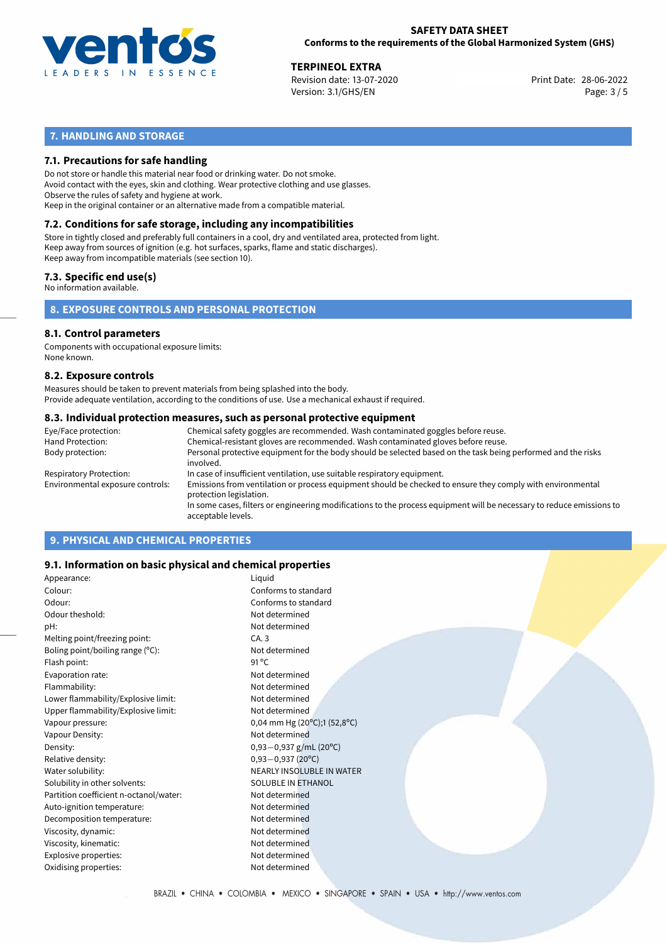

## **SAFETY DATA SHEET Conforms to the requirements of the Global Harmonized System (GHS)**

28-06-2022 **TERPINEOL EXTRA** Revision date: 13-07-2020 Print Date: Version: 3.1/GHS/EN Page: 3 / 5

# **7. HANDLING AND STORAGE**

## **7.1. Precautions for safe handling**

Do not store or handle this material near food or drinking water. Do not smoke. Avoid contact with the eyes, skin and clothing. Wear protective clothing and use glasses. Observe the rules of safety and hygiene at work. Keep in the original container or an alternative made from a compatible material.

# **7.2. Conditions for safe storage, including any incompatibilities**

Store in tightly closed and preferably full containers in a cool, dry and ventilated area, protected from light. Keep away from sources of ignition (e.g. hot surfaces, sparks, flame and static discharges). Keep away from incompatible materials (see section 10).

## **7.3. Specific end use(s)**

No information available.

**8. EXPOSURE CONTROLS AND PERSONAL PROTECTION**

# **8.1. Control parameters**

Components with occupational exposure limits: None known.

## **8.2. Exposure controls**

Measures should be taken to prevent materials from being splashed into the body. Provide adequate ventilation, according to the conditions of use. Use a mechanical exhaust if required.

## **8.3. Individual protection measures, such as personal protective equipment**

| Eye/Face protection:             | Chemical safety goggles are recommended. Wash contaminated goggles before reuse.                                                            |
|----------------------------------|---------------------------------------------------------------------------------------------------------------------------------------------|
| Hand Protection:                 | Chemical-resistant gloves are recommended. Wash contaminated gloves before reuse.                                                           |
| Body protection:                 | Personal protective equipment for the body should be selected based on the task being performed and the risks<br>involved.                  |
| Respiratory Protection:          | In case of insufficient ventilation, use suitable respiratory equipment.                                                                    |
| Environmental exposure controls: | Emissions from ventilation or process equipment should be checked to ensure they comply with environmental<br>protection legislation.       |
|                                  | In some cases, filters or engineering modifications to the process equipment will be necessary to reduce emissions to<br>acceptable levels. |
|                                  |                                                                                                                                             |

# **9. PHYSICAL AND CHEMICAL PROPERTIES**

## **9.1. Information on basic physical and chemical properties**

| Appearance:                            | Liquid                                             |
|----------------------------------------|----------------------------------------------------|
| Colour:                                | Conforms to standard                               |
| Odour:                                 | Conforms to standard                               |
| Odour theshold:                        | Not determined                                     |
| pH:                                    | Not determined                                     |
| Melting point/freezing point:          | CA.3                                               |
| Boling point/boiling range (°C):       | Not determined                                     |
| Flash point:                           | $91^{\circ}$ C                                     |
| Evaporation rate:                      | Not determined                                     |
| Flammability:                          | Not determined                                     |
| Lower flammability/Explosive limit:    | Not determined                                     |
| Upper flammability/Explosive limit:    | Not determined                                     |
| Vapour pressure:                       | 0,04 mm Hg (20 $^{\circ}$ C);1 (52,8 $^{\circ}$ C) |
| Vapour Density:                        | Not determined                                     |
| Density:                               | $0,93-0,937$ g/mL (20°C)                           |
| Relative density:                      | $0,93 - 0,937$ (20°C)                              |
| Water solubility:                      | <b>NEARLY INSOLUBLE IN WATER</b>                   |
| Solubility in other solvents:          | SOLUBLE IN ETHANOL                                 |
| Partition coefficient n-octanol/water: | Not determined                                     |
| Auto-ignition temperature:             | Not determined                                     |
| Decomposition temperature:             | Not determined                                     |
| Viscosity, dynamic:                    | Not determined                                     |
| Viscosity, kinematic:                  | Not determined                                     |
| Explosive properties:                  | Not determined                                     |
| Oxidising properties:                  | Not determined                                     |
|                                        |                                                    |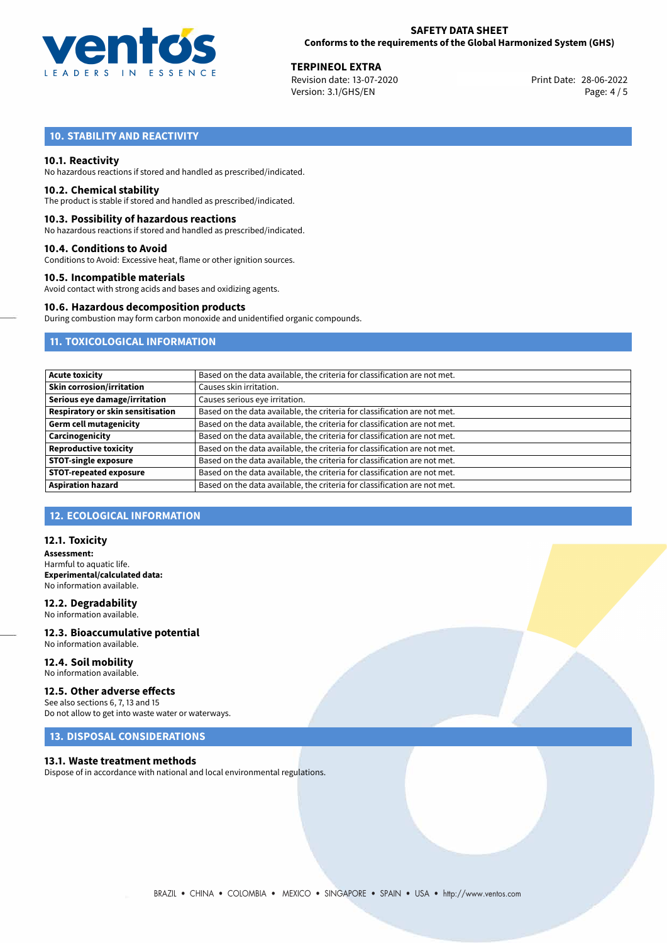

28-06-2022 **TERPINEOL EXTRA** Revision date: 13-07-2020 Print Date: Version: 3.1/GHS/EN Page: 4 / 5

# **10. STABILITY AND REACTIVITY**

## **10.1. Reactivity**

No hazardous reactions if stored and handled as prescribed/indicated.

## **10.2. Chemical stability**

The product is stable if stored and handled as prescribed/indicated.

## **10.3. Possibility of hazardous reactions**

No hazardous reactions if stored and handled as prescribed/indicated.

## **10.4. Conditions to Avoid**

Conditions to Avoid: Excessive heat, flame or other ignition sources.

## **10.5. Incompatible materials**

Avoid contact with strong acids and bases and oxidizing agents.

## **10.6. Hazardous decomposition products**

During combustion may form carbon monoxide and unidentified organic compounds.

## **11. TOXICOLOGICAL INFORMATION**

| Based on the data available, the criteria for classification are not met. |  |  |
|---------------------------------------------------------------------------|--|--|
| Causes skin irritation.                                                   |  |  |
| Causes serious eye irritation.                                            |  |  |
| Based on the data available, the criteria for classification are not met. |  |  |
| Based on the data available, the criteria for classification are not met. |  |  |
| Based on the data available, the criteria for classification are not met. |  |  |
| Based on the data available, the criteria for classification are not met. |  |  |
| Based on the data available, the criteria for classification are not met. |  |  |
| Based on the data available, the criteria for classification are not met. |  |  |
| Based on the data available, the criteria for classification are not met. |  |  |
|                                                                           |  |  |

# **12. ECOLOGICAL INFORMATION**

## **12.1. Toxicity**

**Assessment:** Harmful to aquatic life. **Experimental/calculated data:** No information available.

## **12.2. Degradability** No information available.

**12.3. Bioaccumulative potential** No information available.

## **12.4. Soil mobility** No information available.

# **12.5. Other adverse effects**

See also sections 6, 7, 13 and 15 Do not allow to get into waste water or waterways.

# **13. DISPOSAL CONSIDERATIONS**

## **13.1. Waste treatment methods**

Dispose of in accordance with national and local environmental regulations.